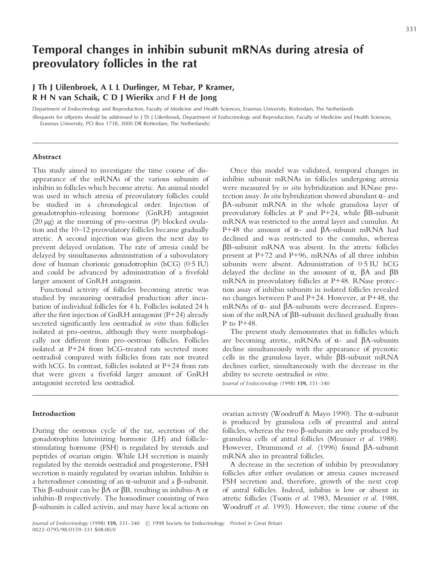# **Temporal changes in inhibin subunit mRNAs during atresia of preovulatory follicles in the rat**

## **J Th J Uilenbroek,ALL Durlinger, M Tebar, P Kramer, R H N van Schaik,CDJ Wierikx** and **F H de Jong**

Department of Endocrinology and Reproduction, Faculty of Medicine and Health Sciences, Erasmus University, Rotterdam, The Netherlands

(Requests for offprints should be addressed to J Th J Uilenbroek, Department of Endocrinology and Reproduction, Faculty of Medicine and Health Sciences, Erasmus University, PO Box 1738, 3000 DR Rotterdam, The Netherlands)

## **Abstract**

This study aimed to investigate the time course of disappearance of the mRNAs of the various subunits of inhibin in follicles which become atretic. An animal model was used in which atresia of preovulatory follicles could be studied in a chronological order. Injection of gonadotrophin-releasing hormone (GnRH) antagonist (20  $\mu$ g) at the morning of pro-oestrus (P) blocked ovulation and the 10–12 preovulatory follicles became gradually atretic. A second injection was given the next day to prevent delayed ovulation. The rate of atresia could be delayed by simultaneous administration of a subovulatory dose of human chorionic gonadotrophin (hCG) (0·5 IU) and could be advanced by administration of a fivefold larger amount of GnRH antagonist.

Functional activity of follicles becoming atretic was studied by measuring oestradiol production after incubation of individual follicles for 4 h. Follicles isolated 24 h after the first injection of GnRH antagonist (P+24) already secreted significantly less oestradiol *in vitro* than follicles isolated at pro-oestrus, although they were morphologically not different from pro-oestrous follicles. Follicles isolated at P+24 from hCG-treated rats secreted more oestradiol compared with follicles from rats not treated with hCG. In contrast, follicles isolated at P+24 from rats that were given a fivefold larger amount of GnRH antagonist secreted less oestradiol.

## **Introduction**

During the oestrous cycle of the rat, secretion of the gonadotrophins luteinizing hormone (LH) and folliclestimulating hormone (FSH) is regulated by steroids and peptides of ovarian origin. While LH secretion is mainly regulated by the steroids oestradiol and progesterone, FSH secretion is mainly regulated by ovarian inhibin. Inhibin is a heterodimer consisting of an  $\alpha$ -subunit and a  $\beta$ -subunit. This  $\beta$ -subunit can be  $\beta A$  or  $\beta B$ , resulting in inhibin-A or inhibin-B respectively. The homodimer consisting of two  $\beta$ -subunits is called activin, and may have local actions on

Once this model was validated, temporal changes in inhibin subunit mRNAs in follicles undergoing atresia were measured by *in situ* hybridization and RNase protection assay. *In situ* hybridization showed abundant  $\alpha$ - and  $\beta$ A-subunit mRNA in the whole granulosa layer of preovulatory follicles at P and P+24, while  $\beta$ B-subunit mRNA was restricted to the antral layer and cumulus. At P+48 the amount of  $\alpha$ - and  $\beta$ A-subunit mRNA had declined and was restricted to the cumulus, whereas âB-subunit mRNA was absent. In the atretic follicles present at P+72 and P+96, mRNAs of all three inhibin subunits were absent. Administration of 0·5 IU hCG delayed the decline in the amount of  $\alpha$ ,  $\beta$ A and  $\beta$ B mRNA in preovulatory follicles at P+48. RNase protection assay of inhibin subunits in isolated follicles revealed no changes between P and P+24. However, at P+48, the mRNAs of  $\alpha$ - and  $\beta$ A-subunits were decreased. Expression of the mRNA of  $\beta B$ -subunit declined gradually from P to P+48.

The present study demonstrates that in follicles which are becoming atretic, mRNAs of  $\alpha$ - and  $\beta$ A-subunits decline simultaneously with the appearance of pycnotic cells in the granulosa layer, while  $\beta$ B-subunit mRNA declines earlier, simultaneously with the decrease in the ability to secrete oestradiol *in vitro*.

*Journal of Endocrinology* (1998) **159,** 331–340

ovarian activity (Woodruff & Mayo 1990). The  $\alpha$ -subunit is produced by granulosa cells of preantral and antral follicles, whereas the two  $\beta$ -subunits are only produced by granulosa cells of antral follicles (Meunier *et al.* 1988). However, Drummond *et al.* (1996) found  $\beta$ A-subunit mRNA also in preantral follicles.

A decrease in the secretion of inhibin by preovulatory follicles after either ovulation or atresia causes increased FSH secretion and, therefore, growth of the next crop of antral follicles. Indeed, inhibin is low or absent in atretic follicles (Tsonis *et al*. 1983, Meunier *et al.* 1988, Woodruff *et al.* 1993). However, the time course of the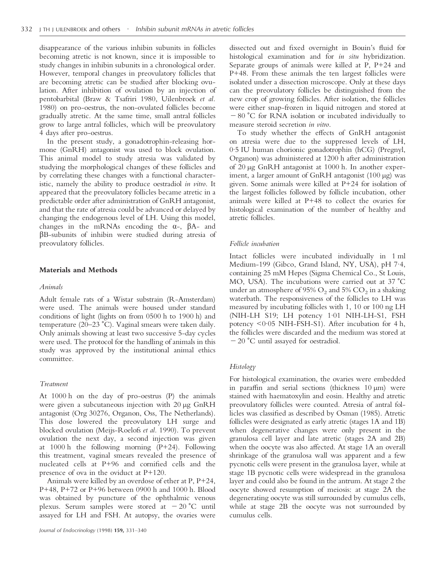disappearance of the various inhibin subunits in follicles becoming atretic is not known, since it is impossible to study changes in inhibin subunits in a chronological order. However, temporal changes in preovulatory follicles that are becoming atretic can be studied after blocking ovulation. After inhibition of ovulation by an injection of pentobarbital (Braw & Tsafriri 1980, Uilenbroek *et al.* 1980) on pro-oestrus, the non-ovulated follicles become gradually atretic. At the same time, small antral follicles grow to large antral follicles, which will be preovulatory 4 days after pro-oestrus.

In the present study, a gonadotrophin-releasing hormone (GnRH) antagonist was used to block ovulation. This animal model to study atresia was validated by studying the morphological changes of these follicles and by correlating these changes with a functional characteristic, namely the ability to produce oestradiol *in vitro*. It appeared that the preovulatory follicles became atretic in a predictable order after administration of GnRH antagonist, and that the rate of atresia could be advanced or delayed by changing the endogenous level of LH. Using this model, changes in the mRNAs encoding the  $\alpha$ -,  $\beta$ A- and  $\beta$ B-subunits of inhibin were studied during atresia of preovulatory follicles.

#### **Materials and Methods**

#### *Animals*

Adult female rats of a Wistar substrain (R-Amsterdam) were used. The animals were housed under standard conditions of light (lights on from 0500 h to 1900 h) and temperature (20–23 °C). Vaginal smears were taken daily. Only animals showing at least two successive 5-day cycles were used. The protocol for the handling of animals in this study was approved by the institutional animal ethics committee.

## *Treatment*

At 1000 h on the day of pro-oestrus (P) the animals were given a subcutaneous injection with 20 µg GnRH antagonist (Org 30276, Organon, Oss, The Netherlands). This dose lowered the preovulatory LH surge and blocked ovulation (Meijs-Roelofs *et al.* 1990). To prevent ovulation the next day, a second injection was given at 1000 h the following morning (P+24). Following this treatment, vaginal smears revealed the presence of nucleated cells at P+96 and cornified cells and the presence of ova in the oviduct at P+120.

Animals were killed by an overdose of ether at P, P+24, P+48, P+72 or P+96 between 0900 h and 1000 h. Blood was obtained by puncture of the ophthalmic venous plexus. Serum samples were stored at  $-20$  °C until assayed for LH and FSH. At autopsy, the ovaries were

dissected out and fixed overnight in Bouin's fluid for histological examination and for *in situ* hybridization. Separate groups of animals were killed at P, P+24 and P+48. From these animals the ten largest follicles were isolated under a dissection microscope. Only at these days can the preovulatory follicles be distinguished from the new crop of growing follicles. After isolation, the follicles were either snap-frozen in liquid nitrogen and stored at  $-80$  °C for RNA isolation or incubated individually to measure steroid secretion *in vitro*.

To study whether the effects of GnRH antagonist on atresia were due to the suppressed levels of LH, 0·5 IU human chorionic gonadotrophin (hCG) (Pregnyl, Organon) was administered at 1200 h after administration of 20 µg GnRH antagonist at 1000 h. In another experiment, a larger amount of GnRH antagonist (100 µg) was given. Some animals were killed at P+24 for isolation of the largest follicles followed by follicle incubation, other animals were killed at P+48 to collect the ovaries for histological examination of the number of healthy and atretic follicles.

#### *Follicle incubation*

Intact follicles were incubated individually in 1 ml Medium-199 (Gibco, Grand Island, NY, USA), pH 7·4, containing 25 mM Hepes (Sigma Chemical Co., St Louis, MO, USA). The incubations were carried out at 37  $^{\circ}$ C under an atmosphere of 95%  $O_2$  and 5%  $CO_2$  in a shaking waterbath. The responsiveness of the follicles to LH was measured by incubating follicles with 1, 10 or 100 ng LH (NIH-LH S19; LH potency 1·01 NIH-LH-S1, FSH potency <0·05 NIH-FSH-S1). After incubation for 4 h, the follicles were discarded and the medium was stored at  $-20$  °C until assayed for oestradiol.

### *Histology*

For histological examination, the ovaries were embedded in paraffin and serial sections (thickness 10 µm) were stained with haematoxylin and eosin. Healthy and atretic preovulatory follicles were counted. Atresia of antral follicles was classified as described by Osman (1985). Atretic follicles were designated as early atretic (stages 1A and 1B) when degenerative changes were only present in the granulosa cell layer and late atretic (stages 2A and 2B) when the oocyte was also affected. At stage 1A an overall shrinkage of the granulosa wall was apparent and a few pycnotic cells were present in the granulosa layer, while at stage 1B pycnotic cells were widespread in the granulosa layer and could also be found in the antrum. At stage 2 the oocyte showed resumption of meiosis: at stage 2A the degenerating oocyte was still surrounded by cumulus cells, while at stage 2B the oocyte was not surrounded by cumulus cells.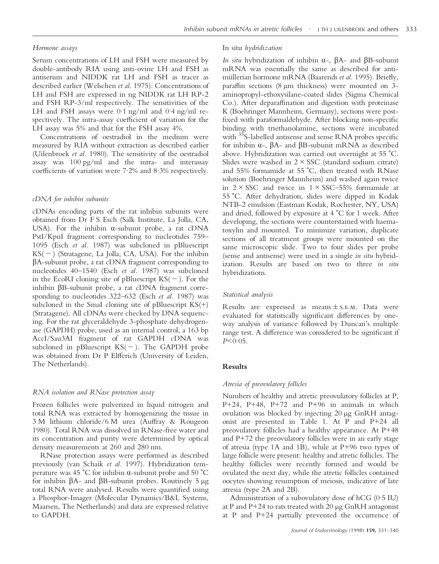#### *Hormone assays*

Serum concentrations of LH and FSH were measured by double-antibody RIA using anti-ovine LH and FSH as antiserum and NIDDK rat LH and FSH as tracer as described earlier (Welschen *et al*. 1975). Concentrations of LH and FSH are expressed in ng NIDDK rat LH RP-2 and FSH RP-3/ml respectively. The sensitivities of the LH and FSH assays were 0·1 ng/ml and 0·4 ng/ml respectively. The intra-assay coefficient of variation for the LH assay was 5% and that for the FSH assay 4%.

Concentrations of oestradiol in the medium were measured by RIA without extraction as described earlier (Uilenbroek *et al.* 1980). The sensitivity of the oestradiol assay was 100 pg/ml and the intra- and interassay coefficients of variation were 7·2% and 8·3% respectively.

#### *cDNA for inhibin subunits*

cDNAs encoding parts of the rat inhibin subunits were obtained from Dr F S Esch (Salk Institute, La Jolla, CA, USA). For the inhibin  $\alpha$ -subunit probe, a rat cDNA PstI/KpnI fragment corresponding to nucleotides 759– 1095 (Esch *et al.* 1987) was subcloned in pBluescript  $KS(-)$  (Stratagene, La Jolla, CA, USA). For the inhibin  $\beta$ A-subunit probe, a rat cDNA fragment corresponding to nucleotides 40–1540 (Esch *et al.* 1987) was subcloned in the EcoRI cloning site of pBluescript  $KS(-)$ . For the inhibin  $\beta$ B-subunit probe, a rat cDNA fragment corresponding to nucleotides 322–632 (Esch *et al.* 1987) was subcloned in the SmaI cloning site of pBluescript  $KS(+)$ (Stratagene). All cDNAs were checked by DNA sequencing. For the rat glyceraldehyde 3-phosphate dehydrogenase (GAPDH) probe, used as an internal control, a 163 bp AccI/Sau3AI fragment of rat GAPDH cDNA was subcloned in pBluescript  $KS(-)$ . The GAPDH probe was obtained from Dr P Elfferich (University of Leiden, The Netherlands).

#### *RNA isolation and RNase protection assay*

Frozen follicles were pulverized in liquid nitrogen and total RNA was extracted by homogenizing the tissue in 3 M lithium chloride/6 M urea (Auffray & Rougeon 1980). Total RNA was dissolved in RNase-free water and its concentration and purity were determined by optical density measurements at 260 and 280 nm.

RNase protection assays were performed as described previously (van Schaik *et al.* 1997). Hybridization temperature was 45 °C for inhibin  $\alpha$ -subunit probe and 50 °C for inhibin  $\beta$ A- and  $\beta$ B-subunit probes. Routinely 5  $\mu$ g total RNA were analysed. Results were quantified using a Phosphor-Imager (Molecular Dynamics/B&L Systems, Maarsen, The Netherlands) and data are expressed relative to GAPDH.

#### In situ *hydridization*

*In situ* hybridization of inhibin  $\alpha$ -,  $\beta$ A- and  $\beta$ B-subunit mRNA was essentially the same as described for antimüllerian hormone mRNA (Baarends et al. 1995). Briefly, paraffin sections (8 µm thickness) were mounted on 3 aminopropyl-ethoxysilane-coated slides (Sigma Chemical Co.). After deparaffination and digestion with proteinase K (Boehringer Mannheim, Germany), sections were postfixed with paraformaldehyde. After blocking non-specific binding with triethanolamine, sections were incubated with <sup>35</sup>S-labelled antisense and sense RNA probes specific for inhibin  $\alpha$ -,  $\beta$ A- and  $\beta$ B-subunit mRNA as described above. Hybridization was carried out overnight at  $55 \degree C$ . Slides were washed in  $2 \times SSC$  (standard sodium citrate) and 55% formamide at 55  $^{\circ}$ C, then treated with RNase solution (Boehringer Mannheim) and washed again twice in  $2 \times SSC$  and twice in  $1 \times SSC-55%$  formamide at 55 )C. After dehydration, slides were dipped in Kodak NTB-2 emulsion (Eastman Kodak, Rochester, NY, USA) and dried, followed by exposure at  $4 °C$  for 1 week. After developing, the sections were counterstained with haematoxylin and mounted. To minimize variation, duplicate sections of all treatment groups were mounted on the same microscopic slide. Two to four slides per probe (sense and antisense) were used in a single *in situ* hybridization. Results are based on two to three *in situ* hybridizations.

#### *Statistical analysis*

Results are expressed as means  $\pm$  s.e.m. Data were evaluated for statistically significant differences by oneway analysis of variance followed by Duncan's multiple range test. A difference was considered to be significant if  $P < 0.05$ .

#### **Results**

#### *Atresia of preovulatory follicles*

Numbers of healthy and atretic preovulatory follicles at P, P+24, P+48, P+72 and P+96 in animals in which ovulation was blocked by injecting 20 µg GnRH antagonist are presented in Table 1. At P and P+24 all preovulatory follicles had a healthy appearance. At P+48 and P+72 the preovulatory follicles were in an early stage of atresia (type 1A and 1B), while at P+96 two types of large follicle were present: healthy and atretic follicles. The healthy follicles were recently formed and would be ovulated the next day, while the atretic follicles contained oocytes showing resumption of meiosis, indicative of late atresia (type 2A and 2B).

Administration of a subovulatory dose of hCG (0·5 IU) at P and P+24 to rats treated with 20 µg GnRH antagonist at P and P+24 partially prevented the occurrence of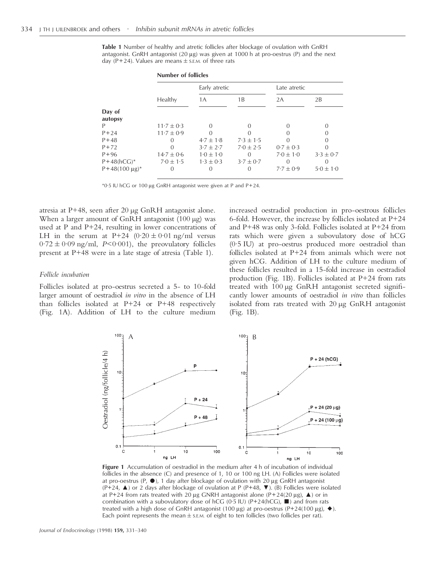**Table 1** Number of healthy and atretic follicles after blockage of ovulation with GnRH antagonist. GnRH antagonist  $(20 \mu g)$  was given at 1000 h at pro-oestrus (P) and the next day (P+24). Values are means  $\pm$  s.E.M. of three rats

**Number of follicles**

|                          | Number of follicles |                  |                  |                  |               |  |  |
|--------------------------|---------------------|------------------|------------------|------------------|---------------|--|--|
|                          |                     | Early atretic    |                  | Late atretic     |               |  |  |
|                          | Healthy             | 1A               | 1B               | 2A               | 2B            |  |  |
| Day of<br>autopsy        |                     |                  |                  |                  |               |  |  |
| P                        | $11.7 \pm 0.3$      | ∩                |                  | $\left( \right)$ |               |  |  |
| $P + 24$                 | $11.7 \pm 0.9$      |                  |                  |                  |               |  |  |
| $P + 48$                 |                     | $4.7 \pm 1.8$    | $7.3 \pm 1.5$    |                  |               |  |  |
| $P + 72$                 | ∩                   | $3.7 \pm 2.7$    | $7.0 \pm 2.5$    | $0.7 \pm 0.3$    |               |  |  |
| $P + 96$                 | $14.7 \pm 0.6$      | $1.0 \pm 1.0$    | $\left( \right)$ | $7.0 \pm 1.0$    | $3.3 \pm 0.7$ |  |  |
| $P+48(hCG)^*$            | $7.0 \pm 1.5$       | $1.3 \pm 0.3$    | $3.7 \pm 0.7$    |                  |               |  |  |
| $P+48(100 \text{ µg})^*$ | $\left( \right)$    | $\left( \right)$ |                  | $7.7 \pm 0.9$    | $5.0 \pm 1.0$ |  |  |

 $*0.5$  IU hCG or 100 µg GnRH antagonist were given at P and P+24.

atresia at P+48, seen after 20 µg GnRH antagonist alone. When a larger amount of GnRH antagonist (100 µg) was used at P and P+24, resulting in lower concentrations of LH in the serum at P+24  $(0.20 \pm 0.01 \text{ ng/ml}$  versus  $0.72 \pm 0.09$  ng/ml, *P*<0.001), the preovulatory follicles present at P+48 were in a late stage of atresia (Table 1).

#### *Follicle incubation*

Follicles isolated at pro-oestrus secreted a 5- to 10-fold larger amount of oestradiol *in vitro* in the absence of LH than follicles isolated at P+24 or P+48 respectively (Fig. 1A). Addition of LH to the culture medium increased oestradiol production in pro-oestrous follicles 6-fold. However, the increase by follicles isolated at P+24 and P+48 was only 3-fold. Follicles isolated at P+24 from rats which were given a subovulatory dose of hCG (0·5 IU) at pro-oestrus produced more oestradiol than follicles isolated at P+24 from animals which were not given hCG. Addition of LH to the culture medium of these follicles resulted in a 15-fold increase in oestradiol production (Fig. 1B). Follicles isolated at P+24 from rats treated with 100 µg GnRH antagonist secreted significantly lower amounts of oestradiol *in vitro* than follicles isolated from rats treated with 20 µg GnRH antagonist (Fig. 1B).



**Figure 1** Accumulation of oestradiol in the medium after 4 h of incubation of individual follicles in the absence (C) and presence of 1, 10 or 100 ng LH. (A) Follicles were isolated at pro-oestrus (P,  $\bullet$ ), 1 day after blockage of ovulation with 20 µg GnRH antagonist  $(P+24, \triangle)$  or 2 days after blockage of ovulation at P (P+48,  $\nabla$ ). (B) Follicles were isolated at P+24 from rats treated with 20  $\mu$ g GNRH antagonist alone (P+24(20  $\mu$ g),  $\blacktriangle$ ) or in combination with a subovulatory dose of hCG (0.5 IU) ( $P+24(hCG)$ ,  $\blacksquare$ ) and from rats treated with a high dose of GnRH antagonist (100 µg) at pro-oestrus (P+24(100 µg),  $\blacklozenge$ ). Each point represents the mean  $\pm$  s.E.M. of eight to ten follicles (two follicles per rat).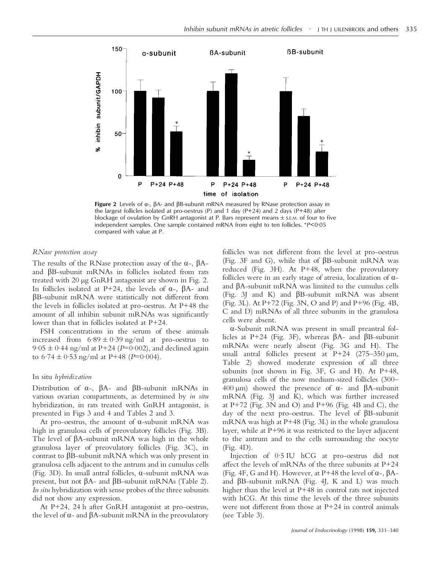

**Figure 2** Levels of  $\alpha$ -,  $\beta$ A- and  $\beta$ B-subunit mRNA measured by RNase protection assay in the largest follicles isolated at pro-oestrus (P) and 1 day (P+24) and 2 days (P+48) after blockage of ovulation by GnRH antagonist at P. Bars represent means  $\pm$  s.E.M. of four to five independent samples. One sample contained mRNA from eight to ten follicles. \**P*<0·05 compared with value at P.

#### *RNase protection assay*

The results of the RNase protection assay of the  $\alpha$ -,  $\beta$ Aand âB-subunit mRNAs in follicles isolated from rats treated with 20 µg GnRH antagonist are shown in Fig. 2. In follicles isolated at P+24, the levels of  $\alpha$ -,  $\beta$ A- and  $\beta$ B-subunit mRNA were statistically not different from the levels in follicles isolated at pro-oestrus. At P+48 the amount of all inhibin subunit mRNAs was significantly lower than that in follicles isolated at P+24.

FSH concentrations in the serum of these animals increased from  $6.89 \pm 0.39$  ng/ml at pro-oestrus to  $9.05 \pm 0.44$  ng/ml at P+24 (*P*=0.002), and declined again to  $6.74 \pm 0.53$  ng/ml at P+48 (*P*=0.004).

#### In situ *hybridization*

Distribution of  $\alpha$ -,  $\beta$ A- and  $\beta$ B-subunit mRNAs in various ovarian compartments, as determined by *in situ* hybridization, in rats treated with GnRH antagonist, is presented in Figs 3 and 4 and Tables 2 and 3.

At pro-oestrus, the amount of  $\alpha$ -subunit mRNA was high in granulosa cells of preovulatory follicles (Fig. 3B). The level of  $\beta$ A-subunit mRNA was high in the whole granulosa layer of preovulatory follicles (Fig. 3C), in contrast to  $\beta$ B-subunit mRNA which was only present in granulosa cells adjacent to the antrum and in cumulus cells (Fig. 3D). In small antral follicles,  $\alpha$ -subunit mRNA was present, but not  $\beta$ A- and  $\beta$ B-subunit mRNAs (Table 2). *In situ* hybridization with sense probes of the three subunits did not show any expression.

At P+24, 24 h after GnRH antagonist at pro-oestrus, the level of  $\alpha$ - and  $\beta$ A-subunit mRNA in the preovulatory follicles was not different from the level at pro-oestrus (Fig. 3F and G), while that of  $\beta$ B-subunit mRNA was reduced (Fig. 3H). At P+48, when the preovulatory follicles were in an early stage of atresia, localization of  $\alpha$ and âA-subunit mRNA was limited to the cumulus cells (Fig. 3) and K) and  $\beta$ B-subunit mRNA was absent (Fig. 3L). At P+72 (Fig. 3N, O and P) and P+96 (Fig. 4B, C and D) mRNAs of all three subunits in the granulosa cells were absent.

á-Subunit mRNA was present in small preantral follicles at P+24 (Fig. 3F), whereas  $\beta$ A- and  $\beta$ B-subunit mRNAs were nearly absent (Fig. 3G and H). The small antral follicles present at P+24  $(275-350 \,\mu m,$ Table 2) showed moderate expression of all three subunits (not shown in Fig. 3F, G and H). At P+48, granulosa cells of the now medium-sized follicles (300– 400  $\mu$ m) showed the presence of  $\alpha$ - and  $\beta$ A-subunit mRNA (Fig. 3J and K), which was further increased at P+72 (Fig. 3N and O) and P+96 (Fig. 4B and C), the day of the next pro-oestrus. The level of  $\beta B$ -subunit mRNA was high at P+48 (Fig. 3L) in the whole granulosa layer, while at P+96 it was restricted to the layer adjacent to the antrum and to the cells surrounding the oocyte (Fig. 4D).

Injection of 0·5 IU hCG at pro-oestrus did not affect the levels of mRNAs of the three subunits at P+24 (Fig. 4F, G and H). However, at P+48 the level of  $\alpha$ -,  $\beta$ Aand  $\beta$ B-subunit mRNA (Fig. 4J, K and L) was much higher than the level at P+48 in control rats not injected with hCG. At this time the levels of the three subunits were not different from those at P+24 in control animals (see Table 3).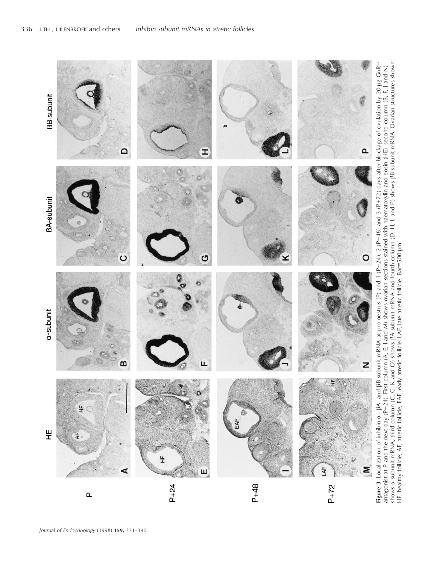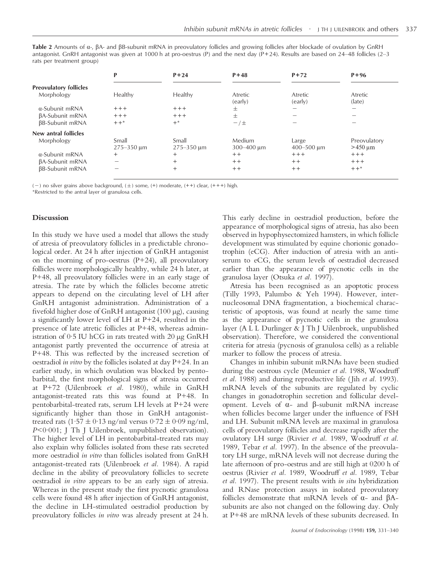Table 2 Amounts of  $\alpha$ -,  $\beta$ A- and  $\beta$ B-subunit mRNA in preovulatory follicles and growing follicles after blockade of ovulation by GnRH antagonist. GnRH antagonist was given at 1000 h at pro-oestrus (P) and the next day (P+24). Results are based on 24–48 follicles (2–3 rats per treatment group)

|                               | P                       | $P + 24$                | $P + 48$             | $P + 72$                 | $P + 96$                                   |
|-------------------------------|-------------------------|-------------------------|----------------------|--------------------------|--------------------------------------------|
| <b>Preovulatory follicles</b> |                         |                         |                      |                          |                                            |
| Morphology                    | <b>Healthy</b>          | Healthy                 | Atretic<br>(early)   | Atretic<br>(early)       | Atretic<br>(late)                          |
| $\alpha$ -Subunit mRNA        | $+++$                   | $+++$                   | 士                    | $\overline{\phantom{a}}$ | -                                          |
| βA-Subunit mRNA               | $++++$                  | $+++$                   | 士                    | $\overline{\phantom{a}}$ |                                            |
| βB-Subunit mRNA               | $++$ *                  | $+^*$                   | $-\prime \pm$        |                          |                                            |
| New antral follicles          |                         |                         |                      |                          |                                            |
| Morphology                    | Small<br>$275 - 350$ um | Small<br>$275 - 350$ um | Medium<br>300-400 um | Large<br>$400 - 500$ um  | Preovulatory<br>$>450 \text{ }\mu\text{m}$ |
| $\alpha$ -Subunit mRNA        | $^{+}$                  | $^{+}$                  | $+ +$                | $++++$                   | $+++$                                      |
| βA-Subunit mRNA               | -                       | $^{+}$                  | $++$                 | $++$                     | $+++$                                      |
| βB-Subunit mRNA               | -                       | $^{+}$                  | $+ +$                | $+ +$                    | $++*$                                      |

 $(-)$  no silver grains above background,  $(\pm)$  some,  $(\pm)$  moderate,  $(\pm)$  clear,  $(\pm +)$  high.

\*Restricted to the antral layer of granulosa cells.

#### **Discussion**

In this study we have used a model that allows the study of atresia of preovulatory follicles in a predictable chronological order. At 24 h after injection of GnRH antagonist on the morning of pro-oestrus (P+24), all preovulatory follicles were morphologically healthy, while 24 h later, at P+48, all preovulatory follicles were in an early stage of atresia. The rate by which the follicles become atretic appears to depend on the circulating level of LH after GnRH antagonist administration. Administration of a fivefold higher dose of GnRH antagonist (100 µg), causing a significantly lower level of LH at P+24, resulted in the presence of late atretic follicles at P+48, whereas administration of 0·5 IU hCG in rats treated with 20 µg GnRH antagonist partly prevented the occurrence of atresia at P+48. This was reflected by the increased secretion of oestradiol *in vitro* by the follicles isolated at day P+24. In an earlier study, in which ovulation was blocked by pentobarbital, the first morphological signs of atresia occurred at P+72 (Uilenbroek *et al.* 1980), while in GnRH antagonist-treated rats this was found at P+48. In pentobarbital-treated rats, serum LH levels at P+24 were significantly higher than those in GnRH antagonisttreated rats (1·57  $\pm$  0·13 ng/ml versus 0·72  $\pm$  0·09 ng/ml, *P*<0·001; J Th J Uilenbroek, unpublished observation). The higher level of LH in pentobarbital-treated rats may also explain why follicles isolated from these rats secreted more oestradiol *in vitro* than follicles isolated from GnRH antagonist-treated rats (Uilenbroek *et al.* 1984). A rapid decline in the ability of preovulatory follicles to secrete oestradiol *in vitro* appears to be an early sign of atresia. Whereas in the present study the first pycnotic granulosa cells were found 48 h after injection of GnRH antagonist, the decline in LH-stimulated oestradiol production by preovulatory follicles *in vitro* was already present at 24 h.

This early decline in oestradiol production, before the appearance of morphological signs of atresia, has also been observed in hypophysectomized hamsters, in which follicle development was stimulated by equine chorionic gonadotrophin (eCG). After induction of atresia with an antiserum to eCG, the serum levels of oestradiol decreased earlier than the appearance of pycnotic cells in the granulosa layer (Otsuka *et al.* 1997).

Atresia has been recognised as an apoptotic process (Tilly 1993, Palumbo & Yeh 1994). However, internucleosomal DNA fragmentation, a biochemical characteristic of apoptosis, was found at nearly the same time as the appearance of pycnotic cells in the granulosa layer (A L L Durlinger & J Th J Uilenbroek, unpublished observation). Therefore, we considered the conventional criteria for atresia (pycnosis of granulosa cells) as a reliable marker to follow the process of atresia.

Changes in inhibin subunit mRNAs have been studied during the oestrous cycle (Meunier *et al.* 1988, Woodruff *et al.* 1988) and during reproductive life ( Jih *et al.* 1993). mRNA levels of the subunits are regulated by cyclic changes in gonadotrophin secretion and follicular development. Levels of  $\alpha$ - and  $\beta$ -subunit mRNA increase when follicles become larger under the influence of FSH and LH. Subunit mRNA levels are maximal in granulosa cells of preovulatory follicles and decrease rapidly after the ovulatory LH surge (Rivier *et al.* 1989, Woodruff *et al.* 1989, Tebar *et al.* 1997). In the absence of the preovulatory LH surge, mRNA levels will not decrease during the late afternoon of pro-oestrus and are still high at 0200 h of oestrus (Rivier *et al.* 1989, Woodruff *et al.* 1989, Tebar *et al.* 1997). The present results with *in situ* hybridization and RNase protection assays in isolated preovulatory follicles demonstrate that mRNA levels of  $\alpha$ - and  $\beta$ Asubunits are also not changed on the following day. Only at P+48 are mRNA levels of these subunits decreased. In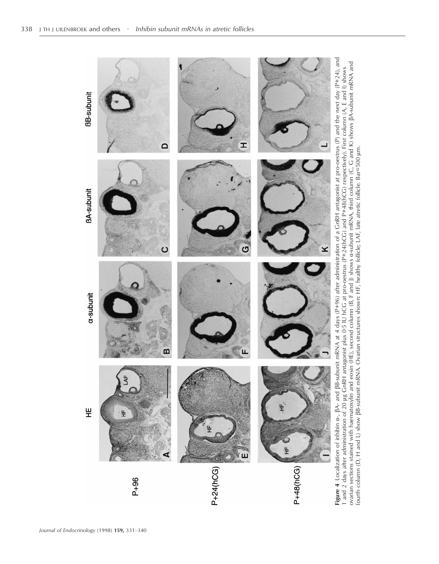

1 and 2 days after administration of 20 µg GnRH antagonist plus 0·5 IU hCG at pro-oestrus (P+24(hCG) and P+48(hCG) respectively). First column (A, E and I) shows<br>ovarian sections stained with haematoxylin and eosin (HE), s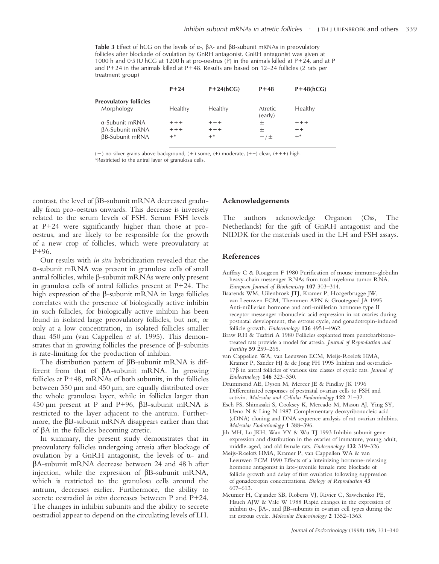**Table 3** Effect of hCG on the levels of  $\alpha$ -,  $\beta$ A- and  $\beta$ B-subunit mRNAs in preovulatory follicles after blockade of ovulation by GnRH antagonist. GnRH antagonist was given at 1000 h and 0.5 IU hCG at 1200 h at pro-oestrus (P) in the animals killed at  $P+24$ , and at P and P+24 in the animals killed at P+48. Results are based on 12–24 follicles (2 rats per treatment group)

|                               | $P + 24$ | $P+24(hCG)$ | $P + 48$           | $P+48(hCG)$ |
|-------------------------------|----------|-------------|--------------------|-------------|
| <b>Preovulatory follicles</b> |          |             |                    |             |
| Morphology                    | Healthy  | Healthy     | Atretic<br>(early) | Healthy     |
| $\alpha$ -Subunit mRNA        | $+++$    | $+++$       | +                  | $+++$       |
| <b>BA-Subunit mRNA</b>        | $+++$    | $+++$       | +                  | $+ +$       |
| <b>BB-Subunit mRNA</b>        | $+^*$    | $+^*$       | $-1$               | $+^*$       |

 $(-)$  no silver grains above background,  $(\pm)$  some,  $(\pm)$  moderate,  $(\pm +)$  clear,  $(\pm +)$  high.

\*Restricted to the antral layer of granulosa cells.

contrast, the level of  $\beta$ B-subunit mRNA decreased gradually from pro-oestrus onwards. This decrease is inversely related to the serum levels of FSH. Serum FSH levels at P+24 were significantly higher than those at prooestrus, and are likely to be responsible for the growth of a new crop of follicles, which were preovulatory at P+96.

Our results with *in situ* hybridization revealed that the á-subunit mRNA was present in granulosa cells of small antral follicles, while  $\beta$ -subunit mRNAs were only present in granulosa cells of antral follicles present at P+24. The high expression of the  $\beta$ -subunit mRNA in large follicles correlates with the presence of biologically active inhibin in such follicles, for biologically active inhibin has been found in isolated large preovulatory follicles, but not, or only at a low concentration, in isolated follicles smaller than 450 µm (van Cappellen *et al.* 1995). This demonstrates that in growing follicles the presence of  $\beta$ -subunits is rate-limiting for the production of inhibin.

The distribution pattern of  $\beta B$ -subunit mRNA is different from that of  $\beta$ A-subunit mRNA. In growing follicles at P+48, mRNAs of both subunits, in the follicles between 350 µm and 450 µm, are equally distributed over the whole granulosa layer, while in follicles larger than 450  $\mu$ m present at P and P+96,  $\beta$ B-subunit mRNA is restricted to the layer adjacent to the antrum. Furthermore, the  $\beta$ B-subunit mRNA disappears earlier than that of âA in the follicles becoming atretic.

In summary, the present study demonstrates that in preovulatory follicles undergoing atresia after blockage of ovulation by a GnRH antagonist, the levels of  $\alpha$ - and âA-subunit mRNA decrease between 24 and 48 h after injection, while the expression of  $\beta B$ -subunit mRNA, which is restricted to the granulosa cells around the antrum, decreases earlier. Furthermore, the ability to secrete oestradiol *in vitro* decreases between P and P+24. The changes in inhibin subunits and the ability to secrete oestradiol appear to depend on the circulating levels of LH.

#### **Acknowledgements**

The authors acknowledge Organon (Oss, The Netherlands) for the gift of GnRH antagonist and the NIDDK for the materials used in the LH and FSH assays.

#### **References**

- Auffray C & Rougeon F 1980 Purification of mouse immuno-globulin heavy-chain messenger RNAs from total myeloma tumor RNA. *European Journal of Biochemistry* **107** 303–314.
- Baarends WM, Uilenbroek JTJ, Kramer P, Hoogerbrugge JW, van Leeuwen ECM, Themmen APN & Grootegoed JA 1995 Anti-müllerian hormone and anti-müllerian hormone type II receptor messenger ribonucleic acid expression in rat ovaries during postnatal development, the estrous cycle, and gonadotropin-induced follicle growth. *Endocrinology* **136** 4951–4962.
- Braw RH & Tsafriri A 1980 Follicles explanted from pentobarbitonetreated rats provide a model for atresia. *Journal of Reproduction and Fertility* **59** 259–265.
- van Cappellen WA, van Leeuwen ECM, Meijs-Roelofs HMA, Kramer P, Sander HJ & de Jong FH 1995 Inhibin and oestradiol-17â in antral follicles of various size classes of cyclic rats. *Journal of Endocrinology* **146** 323–330.
- Drummond AE, Dyson M, Mercer JE & Findlay JK 1996 Differentiated responses of postnatal ovarian cells to FSH and activin. *Molecular and Cellular Endocrinology* **122** 21–32.
- Esch FS, Shimasaki S, Cooksey K, Mercado M, Mason AJ, Ying SY, Ueno N & Ling N 1987 Complementary deoxyribonucleic acid (cDNA) cloning and DNA sequence analysis of rat ovarian inhibins. *Molecular Endocrinology* **1** 388–396.
- Jih MH, Lu JKH, Wan YY & Wu TJ 1993 Inhibin subunit gene expression and distribution in the ovaries of immature, young adult, middle-aged, and old female rats. *Endocrinology* **132** 319–326.
- Meijs-Roelofs HMA, Kramer P, van Cappellen WA & van Leeuwen ECM 1990 Effects of a luteinizing hormone-releasing hormone antagonist in late-juvenile female rats: blockade of follicle growth and delay of first ovulation following suppression of gonadotropin concentrations. *Biology of Reproduction* **43** 607–613.
- Meunier H, Cajander SB, Roberts VJ, Rivier C, Sawchenko PE, Hsueh AJW & Vale W 1988 Rapid changes in the expression of inhibin  $\alpha$ -,  $\beta$ A-, and  $\beta$ B-subunits in ovarian cell types during the rat estrous cycle. *Molecular Endocrinology* **2** 1352–1363.